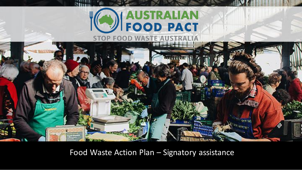



Food Waste Action Plan – Signatory assistance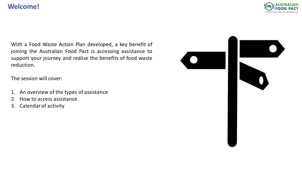### **Welcome!**



With a Food Waste Action Plan developed, a key benefit of joining the Australian Food Pact is accessing assistance to support your journey and realise the benefits of food waste reduction.

The session will cover:

- 1. An overview of the types of assistance
- 2. How to access assistance
- 3. Calendarof activity

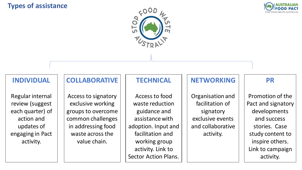### **Types of assistance**





#### **INDIVIDUAL**

Regular internal review (suggest each quarter) of action and updates of engaging in Pact activity.

### **COLLABORATIVE**

Access to signatory exclusive working groups to overcome common challenges in addressing food waste across the value chain.

## **TECHNICAL**

Access to food waste reduction guidance and assistance with adoption. Input and facilitation and working group activity. Link to Sector Action Plans.

## **NETWORKING**

Organisation and facilitation of signatory exclusive events and collaborative activity.

### **PR**

Promotion of the Pact and signatory developments and success stories. Case study content to inspire others. Link to campaign activity.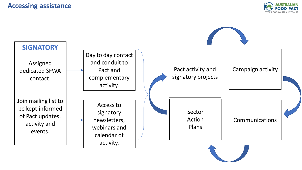#### **Accessing assistance**